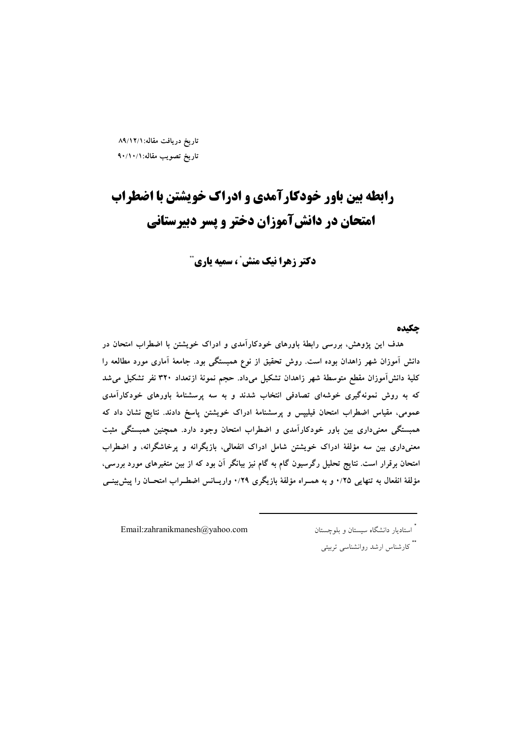تاريخ دريافت مقاله:١/١٢/١٩ تاريخ تصويب مقاله: ٩٠/١٠/١

# **رابطه بین باور خودکارآمدی و ادراک خویشتن با اضطراب** امتحان در دانشآموزان دختر و پسر دبیرستانی

دکتر زهرا نیک منش ً ، سمیه یاری آ

چکیده

هدف این پژوهش، بررسی رابطهٔ باورهای خودکارآمدی و ادراک خویشتن با اضطراب امتحان در دانش آموزان شهر زاهدان بوده است. روش تحقیق از نوع همبستگی بود. جامعهٔ آماری مورد مطالعه را كلية دانش[موزان مقطع متوسطة شهر زاهدان تشكيل مىداد. حجم نمونة ازتعداد ٣٢٠ نفر تشكيل مى شد که به روش نمونهگیری خوشهای تصادفی انتخاب شدند و به سه پرسشنامهٔ باورهای خودکارآمدی عمومی، مقیاس اضطراب امتحان فیلیپس و پرسشنامهٔ ادراک خویشتن پاسخ دادند. نتایج نشان داد که همبستگی معنی داری بین باور خودکارآمدی و اضطراب امتحان وجود دارد. همچنین همبستگی مثبت معنیداری بین سه مؤلفهٔ ادراک خویشتن شامل ادراک انفعالی، بازیگرانه و پرخاشگرانه، و اضطراب امتحان برقرار است. نتایج تحلیل رگرسیون گام به گام نیز بیانگر آن بود که از بین متغیرهای مورد بررسی، مؤلفهٔ انفعال به تنهایی ۰/۲۵ و به همـراه مؤلفهٔ بازیگری ۰/۲۹ واریــانس اضطـراب امتحــان را پیش بینــی

Email:zahranikmanesh@yahoo.com

.<br>ٔ استادیار دانشگاه سیستان و بلوچستان

\*\* کارشناس ارشد روانشناسی تربیتی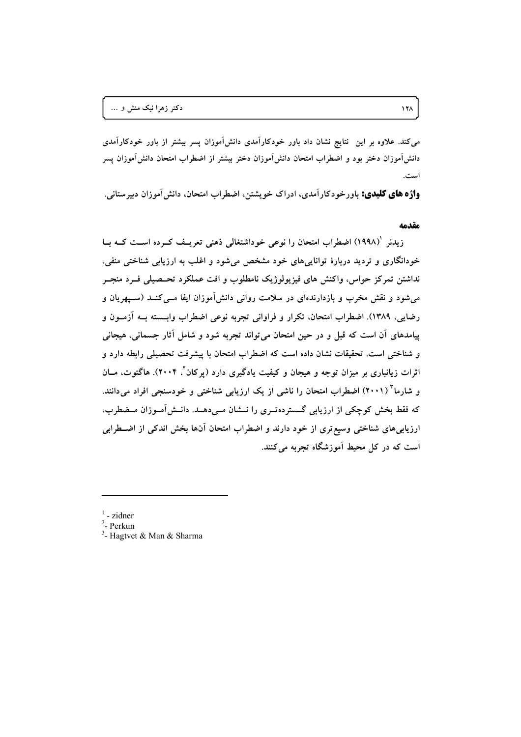می کند. علاوه بر این نتایج نشان داد باور خودکارآمدی دانشآموزان پسر بیشتر از باور خودکارآمدی دانش آموزان دختر بود و اضطراب امتحان دانش آموزان دختر بیشتر از اضطراب امتحان دانش آموزان پسر است.

**واژه های کلیدی:** باورخودکارآمدی، ادراک خویشتن، اضطراب امتحان. دانش آموزان دبیرستانی.

#### مقدمه

زیدنر '(۱۹۹۸) اضطراب امتحان را نوعی خوداشتغالی ذهنی تعریـف کــرده اســت کــه بــا خودانگاری و تردید دربارهٔ تواناییهای خود مشخص میشود و اغلب به ارزیابی شناختی منفی، نداشتن تمرکز حواس، واکنش های فیزیولوژیک نامطلوب و افت عملکرد تحـصیلی فــرد منجــر میشود و نقش مخرب و بازدارندهای در سلامت روانی دانش آموزان ایفا مــیکنــد (ســپهریان و رضایی، ۱۳۸۹). اضطراب امتحان، تکرار و فراوانی تجربه نوعی اضطراب وابـــــته بــه اَزمــون و پیامدهای آن است که قبل و در حین امتحان می تواند تجربه شود و شامل آثار جسمانی، هیجانی و شناختی است. تحقیقات نشان داده است که اضطراب امتحان با پیشرفت تحصیلی رابطه دارد و اثرات زیانباری بر میزان توجه و هیجان و کیفیت یادگیری دارد (پرکان<sup>۲</sup>، ۲۰۰۴). هاگتوت، مــان و شارما<sup>۳</sup> (۲۰۰۱) اضطراب امتحان را ناشی از یک ارزیابی شناختی و خودسنجی افراد میدانند. که فقط بخش کوچکی از ارزیابی گسترده تـری را نــشان مـی دهــد. دانــش آمــوزان مــضطرب، ارزیابیهای شناختی وسیع تری از خود دارند و اضطراب امتحان آنها بخش اندکی از اضـطرابی است که در کل محیط آموزشگاه تجربه میکنند.

- $1$  zidner
- <sup>2</sup>- Perkun
- <sup>3</sup>- Hagtvet & Man & Sharma

 $17<sub>A</sub>$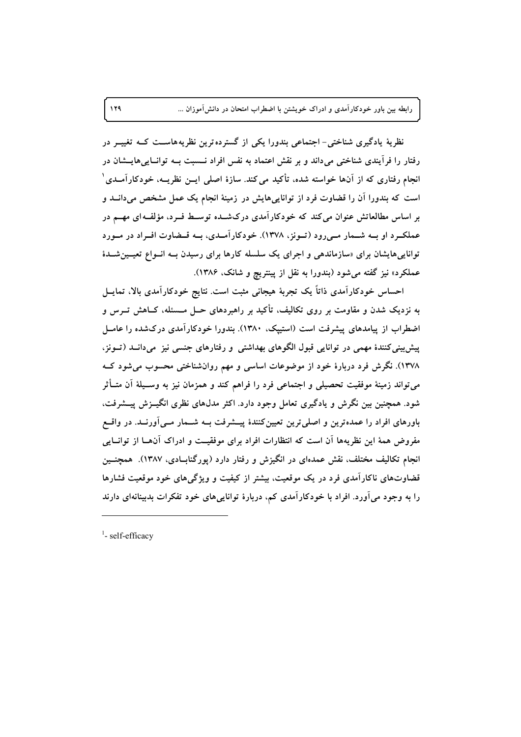نظریهٔ یادگیری شناختی- اجتماعی بندورا یکی از گسترده ترین نظریههاســت کــه تغییــر در رفتار را فرآیندی شناختی میداند و بر نقش اعتماد به نفس افراد نــسبت بــه توانــاییهایــشان در انجام رفتاری که از آنها خواسته شده، تأکید می کند. سازهٔ اصلی ایــن نظریــه، خودکارآمــدی ْ است که بندورا آن را قضاوت فرد از تواناییهایش در زمینهٔ انجام یک عمل مشخص میدانــد و بر اساس مطالعاتش عنوان می کند که خودکارآمدی درکشـده توسـط فـرد، مؤلفـه ای مهــم در عملک و او بــه شــمار مــی رود (تــونز، ١٣٧٨). خودکار آمــدی، بــه قــضاوت افــراد در مــورد توانایی هایشان برای «سازماندهی و اجرای یک سلسله کارها برای رسیدن بــه انــواع تعیــین شــدهٔ عملکرد» نیز گفته میشود (بندورا به نقل از پینتریچ و شانک، ۱۳۸۶).

احساس خودکارآمدی ذاتاً یک تجربهٔ هیجانی مثبت است. نتایج خودکارآمدی بالا، تمایــل به نزدیک شدن و مقاومت بر روی تکالیف، تأکید بر راهبردهای حــل مــسئله، کــاهش تــرس و اضطراب از پیامدهای پیشرفت است (استیپک، ۱۳۸۰). بندورا خودکارآمدی درکشده را عامــل پیش بینی کنندهٔ مهمی در توانایی قبول الگوهای بهداشتی و رفتارهای جنسی نیز میدانــد (تــونز، ۱۳۷۸). نگرش فرد دربارهٔ خود از موضوعات اساسی و مهم روانشناختی محسوب میشود کــه میتواند زمینهٔ موفقیت تحصیلی و اجتماعی فرد را فراهم کند و همزمان نیز به وسـیلهٔ اَن متــأثر شود. همچنین بین نگرش و یادگیری تعامل وجود دارد. اکثر مدلهای نظری انگیــزش پیــشرفت، باورهای افراد را عمدهترین و اصلی ترین تعیینکنندهٔ پیــشرفت بــه شــمار مــی[ورنــد. در واقــع مفروض همهٔ این نظریهها آن است که انتظارات افراد برای موفقیـت و ادراک آنهـا از توانــایی انجام تکالیف مختلف، نقش عمدهای در انگیزش و رفتار دارد (پورگنابـادی، ۱۳۸۷). همچنــین قضاوتهای ناکارآمدی فرد در یک موقعیت، بیشتر از کیفیت و ویژگیهای خود موقعیت فشارها را به وجود می آورد. افراد با خودکار آمدی کم، دربارهٔ تواناییهای خود تفکرات بدبینانهای دارند

 $<sup>1</sup>$ - self-efficacy</sup>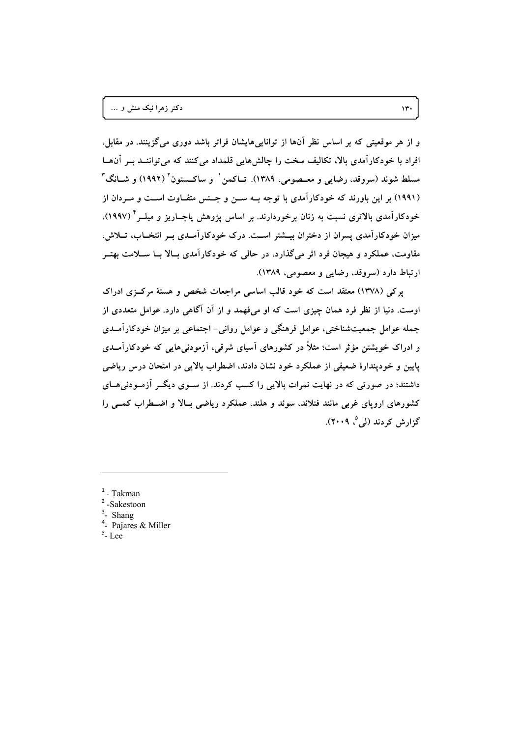و از هر موقعیتی که بر اساس نظر آنها از تواناییهایشان فراتر باشد دوری میگزینند. در مقابل، افراد با خودکارآمدی بالا، تکالیف سخت را چالشهایی قلمداد می کنند که می تواننــد بــر آن۱هــا مسلط شوند (سروقد، رضایی و معــصومی، ۱۳۸۹). تــاکمن ٰ و ساکــستون ٔ (۱۹۹۲) و شــانگ ٔ ّ (۱۹۹۱) بر این باورند که خودکارآمدی با توجه بــه ســن و جــنس متفــاوت اســت و مــردان از خودکارآمدی بالاتری نسبت به زنان برخوردارند. بر اساس پژوهش پاجــاریز و میلــر<sup>۴</sup> (۱۹۹۷)، میزان خودکارآمدی پسران از دختران بیــشتر اســت. درک خودکارآمــدی بــر انتخــاب، تــلاش، مقاومت، عملکرد و هیجان فرد اثر می گذارد، در حالی که خودکارآمدی بـالا بــا ســلامت بهتــر ارتباط دارد (سروقد، رضایی و معصومی، ۱۳۸۹).

یرکی (۱۳۷۸) معتقد است که خود قالب اساسی مراجعات شخص و هستهٔ مرکزی ادراک اوست. دنیا از نظر فرد همان چیزی است که او میفهمد و از آن آگاهی دارد. عوامل متعددی از جمله عوامل جمعیتشناختی، عوامل فرهنگی و عوامل روانی- اجتماعی بر میزان خودکارآمـدی و ادراک خویشتن مؤثر است؛ مثلاً در کشورهای آسیای شرقی، آزمودنیهایی که خودکارآمـدی پایین و خودپندارهٔ ضعیفی از عملکرد خود نشان دادند، اضطراب بالایی در امتحان درس ریاضی داشتند؛ در صورتی که در نهایت نمرات بالایی را کسب کردند. از ســوی دیگــر آزمــودنی۵ــای کشورهای اروپای غربی مانند فنلاند، سوئد و هلند، عملکرد ریاضی بـالا و اضـطراب کمــی را گزارش کردند (لی<sup>0</sup>، ۲۰۰۹).

- $1 Takman$
- $2$ -Sakestoon
- $3$  Shang
- $4$  Paiares & Miller
- $5$ -Lee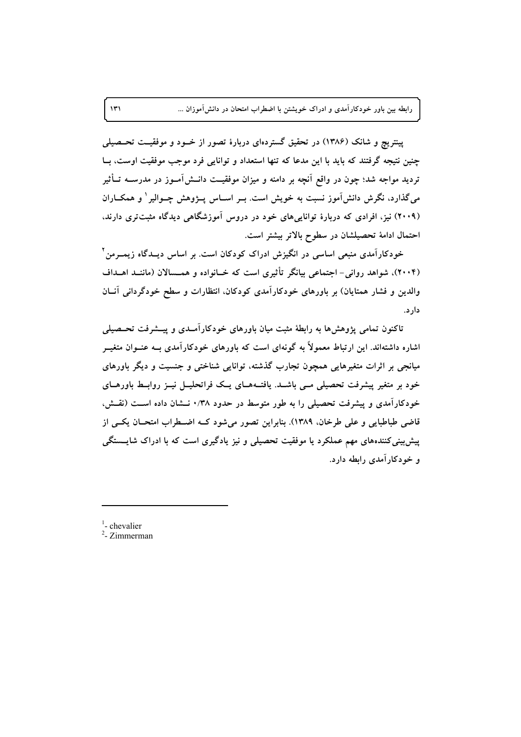پینتریچ و شانک (۱۳۸۶) در تحقیق گستردهای دربارهٔ تصور از خــود و موفقیــت تحــصیلمی چنین نتیجه گرفتند که باید با این مدعا که تنها استعداد و توانایی فرد موجب موفقیت اوست، بـا تردید مواجه شد؛ چون در واقع آنچه بر دامنه و میزان موفقیــت دانــشآمــوز در مدرســه تــأثیر میگذارد، نگرش دانش آموز نسبت به خویش است. بــر اســاس پـــژوهش چــوالیر ' و همکــاران (۲۰۰۹) نیز، افرادی که دربارهٔ تواناییهای خود در دروس آموزشگاهی دیدگاه مثبتتری دارند. احتمال ادامهٔ تحصیلشان در سطوح بالاتر بیشتر است.

خودکارآمدی منبعی اساسی در انگیزش ادراک کودکان است. بر اساس دیــدگاه زیمــرمن " (۲۰۰۴)، شواهد روانی- اجتماعی بیانگر تأثیری است که خــانواده و همــسالان (ماننــد اهــداف والدین و فشار همتایان) بر باورهای خودکارآمدی کودکان، انتظارات و سطح خودگردانی آنــان دار د.

تاکنون تمامی پژوهشها به رابطهٔ مثبت میان باورهای خودکارآمـدی و پیــشرفت تحــصیلمی اشاره داشتهاند. این ارتباط معمولاً به گونهای است که باورهای خودکارآمدی بــه عنــوان متغیــر میانجی بر اثرات متغیرهایی همچون تجارب گذشته، توانایی شناختی و جنسیت و دیگر باورهای خود بر متغیر پیشرفت تحصیلی مــی باشــد. یافتــههــای یــک فراتحلیــل نیــز روابــط باورهــای خودکارآمدی و پیشرفت تحصیلی را به طور متوسط در حدود ۰/۳۸ نــشان داده اســت (نقــش، قاضی طباطبایی و علی طرخان. ۱۳۸۹). بنابراین تصور میشود کـه اضـطراب امتحـان یکـی از پیش بینی کنندههای مهم عملکرد یا موفقیت تحصیلی و نیز یادگیری است که با ادراک شایـــــتگی و خودکارآمدی رابطه دارد.

<sup>1</sup>- chevalier<br><sup>2</sup>- Zimmerman

 $\mathcal{W}$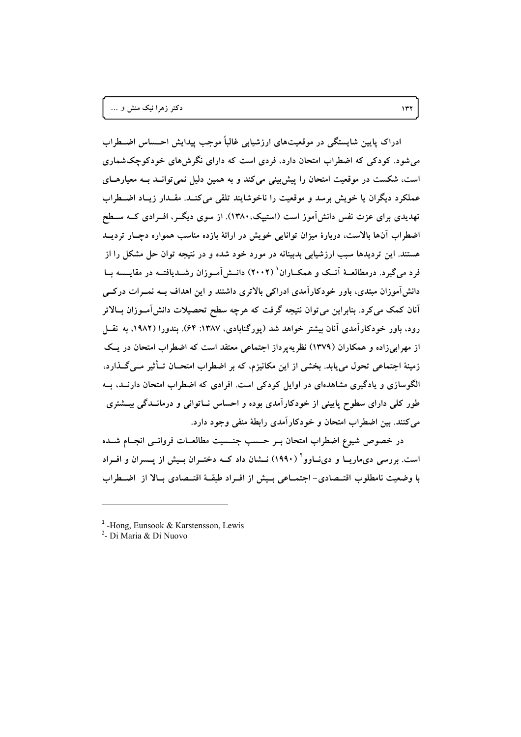ادراک پایین شاپستگی در موقعیتهای ارزشیابی غالباً موجب پیدایش احــساس اضــطراب می شود. کودکی که اضطراب امتحان دارد، فردی است که دارای نگرش های خودکوچکشماری است، شکست در موقعیت امتحان را پیش بینی می کند و به همین دلیل نمی توانـد بـه معیارهـای عملکرد دیگران یا خویش برسد و موقعیت را ناخوشایند تلقی می کنــد. مقــدار زیــاد اضــطراب تهدیدی برای عزت نفس دانش آموز است (استییک، ۱۳۸۰). از سوی دیگــر، افــرادی کــه ســطح اضطراب آنها بالاست، دربارهٔ میزان توانایی خویش در ارائهٔ بازده مناسب همواره دچـار تردیــد هستند. این تردیدها سبب ارزشیابی بدبینانه در مورد خود شده و در نتیجه توان حل مشکل را از فرد می گیرد. درمطالعیهٔ آنیک و همکیاران<sup>(</sup> (۲۰۰۲) دانیش آمیوزان رشیدیافتیه در مقایسیه سا دانشآموزان مبتدی، باور خودکارآمدی ادراکی بالاتری داشتند و این اهداف بــه نمــرات درکــی آنان کمک میکرد. بنابراین می توان نتیجه گرفت که هرچه سطح تحصیلات دانش آمــوزان بــالاتر رود، باور خودکارآمدی آنان بیشتر خواهد شد (پورگنابادی، ۱۳۸۷: ۶۴). بندورا (۱۹۸۲، به نقــل از مهرابیزاده و همکاران (۱۳۷۹) نظریه پر داز اجتماعی معتقد است که اضطراب امتحان در یک زمینهٔ اجتماعی تحول می،یابد. بخشی از این مکانیزم، که بر اضطراب امتحــان تــأثیر مــی&ـذارد، الگوسازی و یادگیری مشاهدهای در اوایل کودکی است. افرادی که اضطراب امتحان دارنــد، بــه طور کلی دارای سطوح پایینی از خودکارآمدی بوده و احساس نــاتوانی و درمانــدگی بیـــشتری می کنند. بین اضطراب امتحان و خودکارآمدی رابطهٔ منفی وجود دارد.

در خصوص شیوع اضطراب امتحان بـر حـسب جنـسیت مطالعـات فروانـبی انجـام شــده است. بررسی دیماریــا و دیiــاوو ( ۱۹۹۰) نــشان داد کــه دختـران بــیش از پــسران و افــراد با وضعیت نامطلوب اقتــصادی- اجتمــاعی بــیش از افــراد طبقــهٔ اقتــصادی بــالا از اضــطراب

 $<sup>1</sup>$ -Hong. Eunsook & Karstensson. Lewis</sup>

<sup>&</sup>lt;sup>2</sup>- Di Maria & Di Nuovo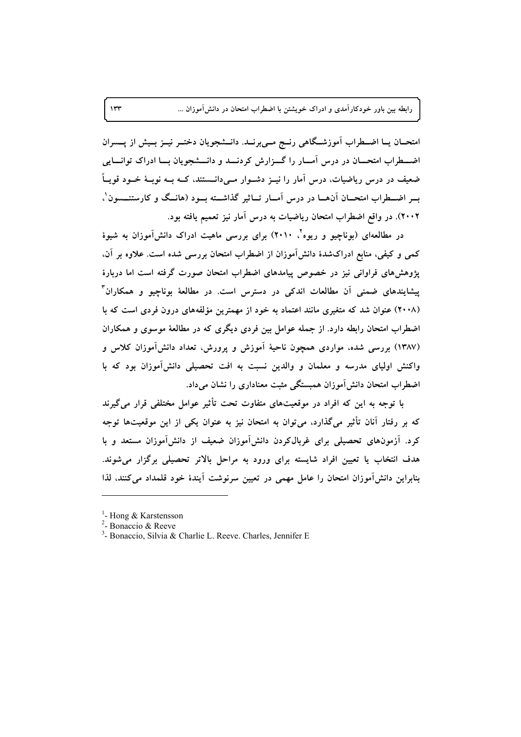امتحــان یــا اضــطراب آموزشــگاهی رنــج مــی,برنــد. دانــشجویان دختــر نیــز بــیش از پـــسران اضــطراب امتحــان در درس آمــار را گــزارش کردنــد و دانـــشجویان بــا ادراک توانـــایی ضعیف در درس ریاضیات، درس آمار را نیــز دشــوار مــی۵انــستند، کــه بــه نوبــهٔ خــود قویــاً بسر اضـطراب امتحــان آن٥هــا در درس آمــار تــاثیر گذاشــته بــود (هانــگ و کارستنـــسون'، ۲۰۰۲). در واقع اضطراب امتحان ریاضیات به درس آمار نیز تعمیم یافته بود.

در مطالعهای (بوناچیو و ریوه<sup>۲</sup>، ۲۰۱۰) برای بررسی ماهیت ادراک دانش آموزان به شیوهٔ کمی و کیفی، منابع ادراکشدهٔ دانش آموزان از اضطراب امتحان بررسی شده است. علاوه بر آن. پژوهش های فراوانی نیز در خصوص پیامدهای اضطراب امتحان صورت گرفته است اما دربارهٔ پیشایندهای ضمنی آن مطالعات اندکی در دسترس است. در مطالعهٔ بوناچیو و همکاران (۲۰۰۸) عنوان شد که متغیری مانند اعتماد به خود از مهمترین مؤلفههای درون فردی است که با اضطراب امتحان رابطه دارد. از جمله عوامل بین فردی دیگری که در مطالعهٔ موسوی و همکاران (۱۳۸۷) بررسی شده، مواردی همچون ناحیهٔ آموزش و یرورش، تعداد دانشآموزان کلاس و واکنش اولیای مدرسه و معلمان و والدین نسبت به افت تحصیلی دانشآموزان بود که با اضطراب امتحان دانش آموزان همبستگی مثبت معناداری را نشان می داد.

با توجه به این که افراد در موقعیتهای متفاوت تحت تأثیر عوامل مختلفی قرار میگیرند که بر رفتار آنان تأثیر میگذارد، میٍتوان به امتحان نیز به عنوان یکی از این موقعیتها توجه کرد. آزمونهای تحصیلی برای غربالکردن دانش آموزان ضعیف از دانش آموزان مستعد و با هدف انتخاب یا تعیین افراد شایسته برای ورود به مراحل بالاتر تحصیلی برگزار میشوند. بنابراین دانش آموزان امتحان را عامل مهمی در تعیین سرنوشت آیندهٔ خود قلمداد می کنند، لذا

 $\mathbf{r}$ 

<sup>&</sup>lt;sup>1</sup>- Hong & Karstensson

 $2$ - Bonaccio & Reeve

<sup>&</sup>lt;sup>3</sup>- Bonaccio, Silvia & Charlie L. Reeve, Charles, Jennifer E.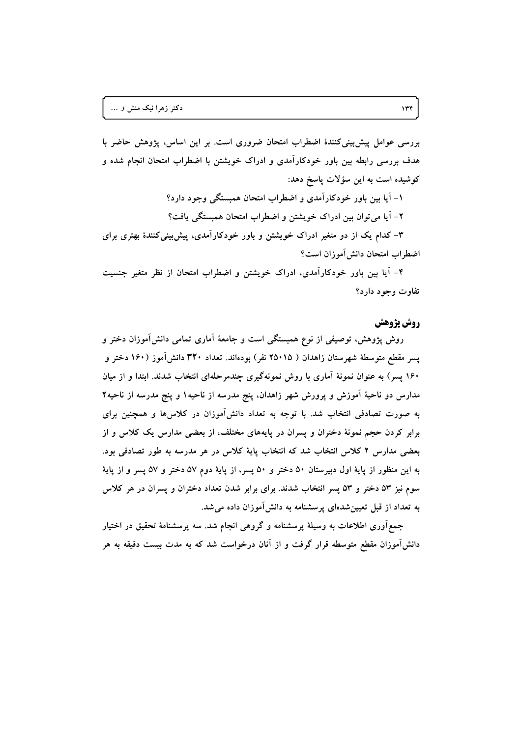بررسی عوامل پیش بینی کنندهٔ اضطراب امتحان ضروری است. بر این اساس، پژوهش حاضر با هدف بررسی رابطه بین باور خودکارآمدی و ادراک خویشتن با اضطراب امتحان انجام شده و كوشيده است به اين سؤلات پاسخ دهد:

> ۱- آیا بین باور خودکارآمدی و اضطراب امتحان همبستگی وجود دارد؟ ٢- آيا مي توان بين ادراك خويشتن و اضطراب امتحان همبستگي يافت؟

۳- کدام یک از دو متغیر ادراک خویشتن و باور خودکارآمدی، پیش بینیکنندهٔ بهتری برای اضطراب امتحان دانش آموزان است؟

۴- آیا بین باور خودکارآمدی، ادراک خویشتن و اضطراب امتحان از نظر متغیر جنسیت تفاوت وجود دارد؟

## **روش پژوهش**

روش پژوهش، توصیفی از نوع همبستگی است و جامعهٔ اَماری تمامی دانشآموزان دختر و پسر مقطع متوسطهٔ شهرستان زاهدان ( ۲۵۰۱۵ نفر) بودهاند. تعداد ۳۲۰ دانش[موز (۱۶۰ دختر و ۱۶۰ پسر) به عنوان نمونهٔ آماری با روش نمونهگیری چندمرحلهای انتخاب شدند. ابتدا و از میان مدارس دو ناحیهٔ آموزش و پرورش شهر زاهدان، پنج مدرسه از ناحیه۱ و پنج مدرسه از ناحیه۲ به صورت تصادفی انتخاب شد. با توجه به تعداد دانش[موزان در کلاسها و همچنین برای برابر کردن حجم نمونهٔ دختران و پسران در پایههای مختلف، از بعضی مدارس یک کلاس و از بعضی مدارس ۲ کلاس انتخاب شد که انتخاب پایهٔ کلاس در هر مدرسه به طور تصادفی بود. به این منظور از پایهٔ اول دبیرستان ۵۰ دختر و ۵۰ پسر، از پایهٔ دوم ۵۷ دختر و ۵۷ پسر و از پایهٔ سوم نیز ۵۳ دختر و ۵۳ پسر انتخاب شدند. برای برابر شدن تعداد دختران و پسران در هر کلاس به تعداد از قبل تعیینشدهای پرسشنامه به دانشآموزان داده میشد.

جمع آوری اطلاعات به وسیلهٔ پرسشنامه و گروهی انجام شد. سه پرسشنامهٔ تحقیق در اختیار دانشآموزان مقطع متوسطه قرار گرفت و از آنان درخواست شد که به مدت بیست دقیقه به هر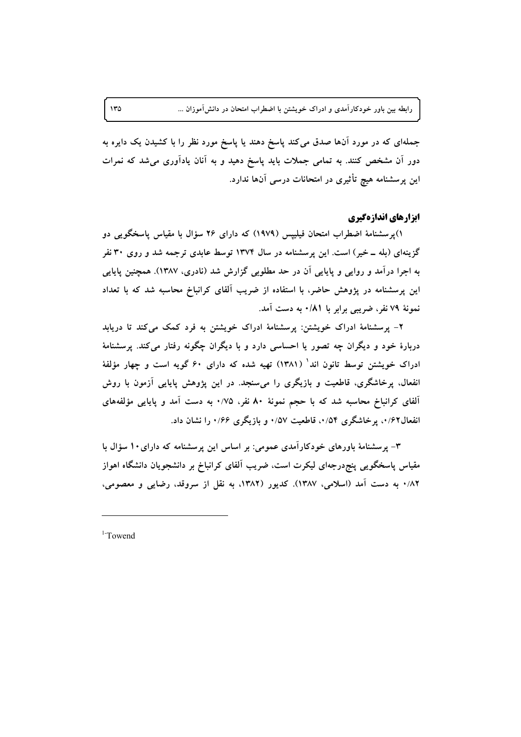جملهای که در مورد آنها صدق میکند پاسخ دهند یا پاسخ مورد نظر را با کشیدن یک دایره به دور آن مشخص کنند. به تمامی جملات باید پاسخ دهید و به آنان یادآوری میشد که نمرات این پرسشنامه هیچ تأثیری در امتحانات درسی آنها ندارد.

#### ابزارهای اندازهگیری

۱)پرسشنامهٔ اضطراب امتحان فیلیپس (۱۹۷۹) که دارای ۲۶ سؤال با مقیاس پاسخگویی دو گزینهای (بله ــ خیر) است. این پرسشنامه در سال ۱۳۷۴ توسط عابدی ترجمه شد و روی ۳۰ نفر به اجرا درآمد و روایی و پایایی آن در حد مطلوبی گزارش شد (نادری، ۱۳۸۷). همچنین پایایی این پرسشنامه در پژوهش حاضر، با استفاده از ضریب آلفای کرانباخ محاسبه شد که با تعداد نمونهٔ ۷۹ نفر، ضریبی برابر با ۰/۸۱ به دست آمد.

۲- پرسشنامهٔ ادراک خویشتن: پرسشنامهٔ ادراک خویشتن به فرد کمک میکند تا دریابد دربارهٔ خود و دیگران چه تصور یا احساسی دارد و با دیگران چگونه رفتار میکند. پرسشنامهٔ ادراک خویشتن توسط تانون اند' (۱۳۸۱) تهیه شده که دارای ۶۰ گویه است و چهار مؤلفهٔ انفعال، پرخاشگری، قاطعیت و بازیگری را میسنجد. در این پژوهش پایایی آزمون با روش آلفای کرانباخ محاسبه شد که با حجم نمونهٔ ۸۰ نفر، ۰/۷۵ به دست آمد و پایایی مؤلفههای انفعال۱٬۶۲ برخاشگری ۰/۵۴ قاطعیت ۰/۵۷ و بازیگری ۰/۶۶ را نشان داد.

۳- پرسشنامهٔ باورهای خودکارآمدی عمومی: بر اساس این پرسشنامه که دارای۱۰ سؤال با مقیاس پاسخگویی پنج،رجهای لیکرت است، ضریب آلفای کرانباخ بر دانشجویان دانشگاه اهواز ۰/۸۲ به دست آمد (اسلامی، ۱۳۸۷). کدیور (۱۳۸۲، به نقل از سروقد، رضایی و معصومی،

 $1$ -Towend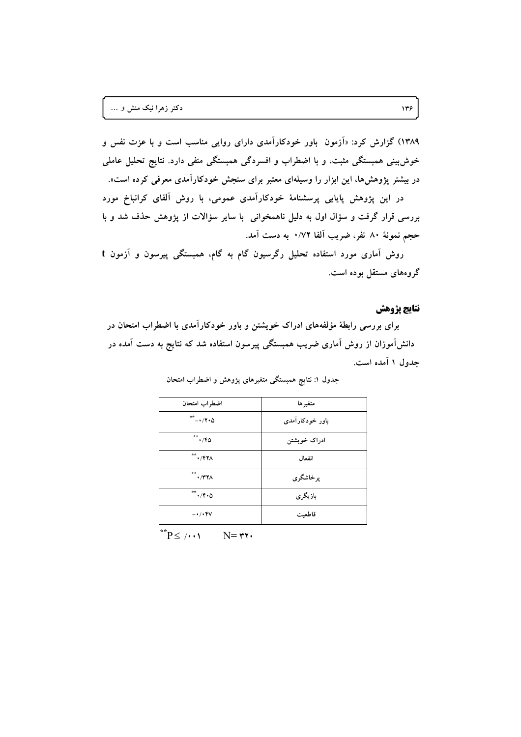۱۳۸۹) گزارش کرد: «اَزمون باور خودکاراَمدی دارای روایی مناسب است و با عزت نفس و خوش بینی همبستگی مثبت، و با اضطراب و افسردگی همبستگی منفی دارد. نتایج تحلیل عاملی در بیشتر پژوهشها، این ابزار را وسیلهای معتبر برای سنجش خودکارآمدی معرفی کرده است».

در این پژوهش پایایی پرسشنامهٔ خودکارآمدی عمومی، با روش آلفای کرانباخ مورد بررسی قرار گرفت و سؤال اول به دلیل ناهمخوانی با سایر سؤالات از پژوهش حذف شد و با حجم نمونهٔ ۸۰ نفر، ضریب آلفا ۰/۷۲ به دست آمد.

روش آماری مورد استفاده تحلیل رگرسیون گام به گام، همبستگی پیرسون و آزمون t گروههای مستقل بوده است.

#### نتايج يژوهش

برای بررسی رابطهٔ مؤلفههای ادراک خویشتن و باور خودکارآمدی با اضطراب امتحان در دانشآموزان از روش آماری ضریب همبستگی پیرسون استفاده شد که نتایج به دست آمده در جدول ۱ آمده است.

| اضطراب امتحان                                                 | متغير ها        |  |  |
|---------------------------------------------------------------|-----------------|--|--|
|                                                               | باور خودکارآمدی |  |  |
| $**$ $*(6)$                                                   | ادراک خویشتن    |  |  |
| $\overset{\ast\ast}{\mathbf{H}}\cdot/\mathbf{f} \mathbf{Y}$   | انفعال          |  |  |
| $\overset{\ast\ast}{\mathbf{H}}\cdot\mathbf{A}$               | برخاشگري        |  |  |
| $\overset{**}{\longrightarrow}$ . / $\mathbf{F} \cdot \Delta$ | بازيگري         |  |  |
| $ \cdot$ / $\cdot$ $\mathsf{FV}$                              | قاطعىت          |  |  |
|                                                               |                 |  |  |

جدول ۱: نتایج همبستگی متغیرهای یژوهش و اضطراب امتحان

 $\mathbf{P} \leq \mathbf{P}^*$  $N = r r$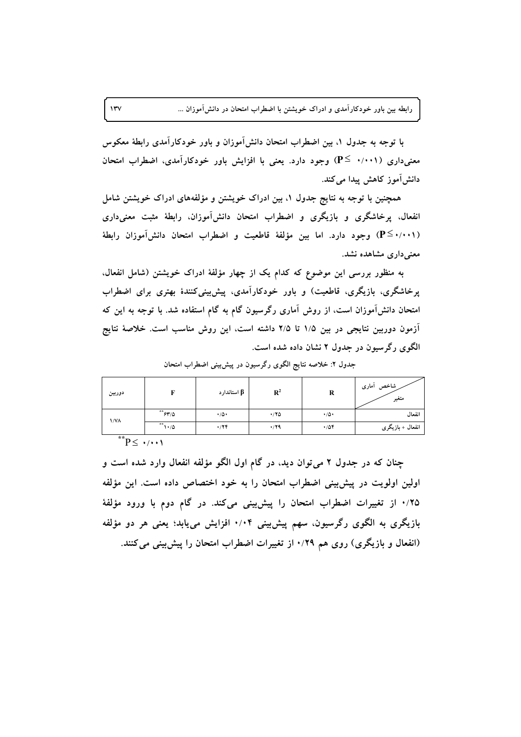با توجه به جدول ۱، بین اضطراب امتحان دانش[موزان و باور خودکارآمدی رابطهٔ معکوس معنیداری (۰/۰۰۱ ≧P) وجود دارد. یعنی با افزایش باور خودکارآمدی، اضطراب امتحان دانش[موز کاهش پیدا میکند.

همچنین با توجه به نتایج جدول ۱، بین ادراک خویشتن و مؤلفههای ادراک خویشتن شامل انفعال، پرخاشگری و بازیگری و اضطراب امتحان دانشآموزان، رابطهٔ مثبت معنیداری (P≦۰/۰۰۱) وجود دارد. اما بین مؤلفهٔ قاطعیت و اضطراب امتحان دانشآموزان رابطهٔ معنی داری مشاهده نشد.

به منظور بررسی این موضوع که کدام یک از چهار مؤلفهٔ ادراک خویشتن (شامل انفعال. پرخاشگری، بازیگری، قاطعیت) و باور خودکارآمدی، پیشبینی کنندهٔ بهتری برای اضطراب امتحان دانش[موزان است، از روش آماری رگرسیون گام به گام استفاده شد. با توجه به این که آزمون دوربین نتایجی در بین ۱/۵ تا ۲/۵ داشته است، این روش مناسب است. خلاصهٔ نتایج الگوی رگرسیون در جدول ۲ نشان داده شده است.

| دوربين      |                         | β استاندارد    | $\mathbf{R}^2$ | R              | شاخص أمارى<br>متغير |
|-------------|-------------------------|----------------|----------------|----------------|---------------------|
| <b>\/VA</b> | $**$ ۶۳/۵               | $\cdot/\Delta$ | $\cdot$ /۲۵    | $\cdot/\Delta$ | انفعال              |
|             | $\sqrt{1\cdot\sqrt{2}}$ | $\cdot$ /٢۴    | $\cdot$ /۲۹    | .708           | انفعال + بازیگری    |
| $+ +$       |                         |                |                |                |                     |

جدول ۲: خلاصه نتایج الگوی رگرسیون در پیش بینی اضطراب امتحان

 $P<\cdot/\cdot\cdot$ 

 $\mathbf{v}$ 

چنان که در جدول ۲ می توان دید، در گام اول الگو مؤلفه انفعال وارد شده است و اولین اولویت در پیش بینی اضطراب امتحان را به خود اختصاص داده است. این مؤلفه ۰/۲۵ از تغییرات اضطراب امتحان را پیش بینی می کند. در گام دوم با ورود مؤلفهٔ بازیگری به الگوی رگرسیون، سهم پیش بینی ۰/۰۴ افزایش می،یابد؛ یعنی هر دو مؤلفه (انفعال و بازیگری) روی هم ۰/۲۹ از تغییرات اضطراب امتحان را پیش بینی می کنند.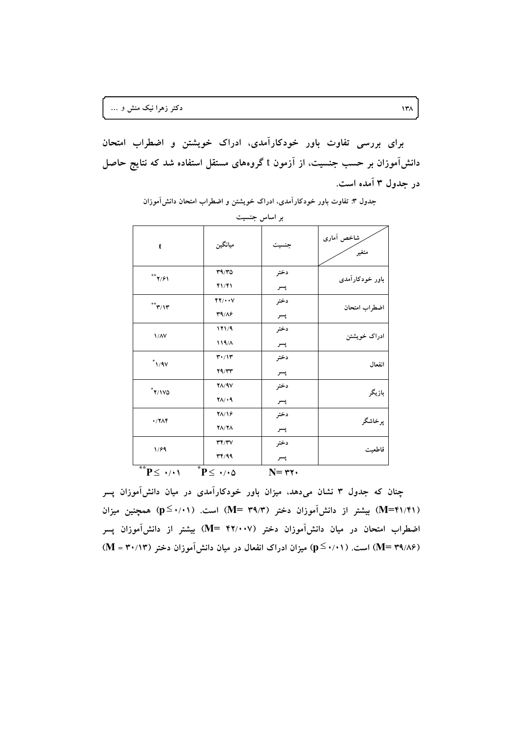برای بررسی تفاوت باور خودکارآمدی، ادراک خویشتن و اضطراب امتحان دانشآموزان بر حسب جنسیت، از آزمون t گروههای مستقل استفاده شد که نتایج حاصل در جدول ۳ آمده است.

| بر اساس جنسیت                           |                                           |                   |                     |  |  |  |
|-----------------------------------------|-------------------------------------------|-------------------|---------------------|--|--|--|
| t                                       | ميانگين                                   | جنسيت             | شاخص آمارى<br>متغير |  |  |  |
| $**$ ۲/۶۱                               | 49/6<br>41/41                             | دختر<br>پسر       | باور خودکارآمدی     |  |  |  |
| $\sqrt{\Upsilon^*} \Upsilon / \Upsilon$ | YY/4.4V<br>T9/A9                          | دختر<br>پسر       | اضطراب امتحان       |  |  |  |
| $1/\lambda V$                           | 171/9<br>119/1                            | دختر<br>پسر       | ادراک خویشتن        |  |  |  |
| $^*$ \/ 9 $\vee$                        | $\mathbf{r} \cdot / \mathbf{v}$<br>Y9/YY  | دختر<br>پسر       | انفعال              |  |  |  |
| $\gamma$                                | $Y\Lambda$ /9 $V$<br>$Y \wedge / \cdot 9$ | دختر<br>پسر       | بازيگر              |  |  |  |
| $\cdot$ /7 $\wedge$ ۴                   | $Y\Lambda/Y$<br>$Y\Lambda/Y\Lambda$       | دختر<br>پسر       | پرخاشگر             |  |  |  |
| 1/89                                    | YY/Y<br>rr/99                             | دختر<br>پسر       | قاطعيت              |  |  |  |
| $\overline{P} \leq \cdot / \cdot 1$     | $\overline{P}$ +/ $\cdot$ $\Delta$        | $N = \tau \gamma$ |                     |  |  |  |

جدول ۳: تفاوت باور خودکارآمدی، ادراک خویشتن و اضطراب امتحان دانش آموزان

چنان که جدول ۳ نشان میدهد، میزان باور خودکارآمدی در میان دانش آموزان پسر (M=۴۱/۴۱) بیشتر از دانشآموزان دختر (M= ۳۹/۳) است. (p≤۰/۰۱) همچنین میزان اضطراب امتحان در میان دانش[موزان دختر (۴۲/۰۰۷ =M) بیشتر از دانش[موزان پسر (M= ۳۹/۸۶) است. (۰٫۱۱) میزان ادراک انفعال در میان دانش[موزان دختر (۱۳۰/۱۳ = M)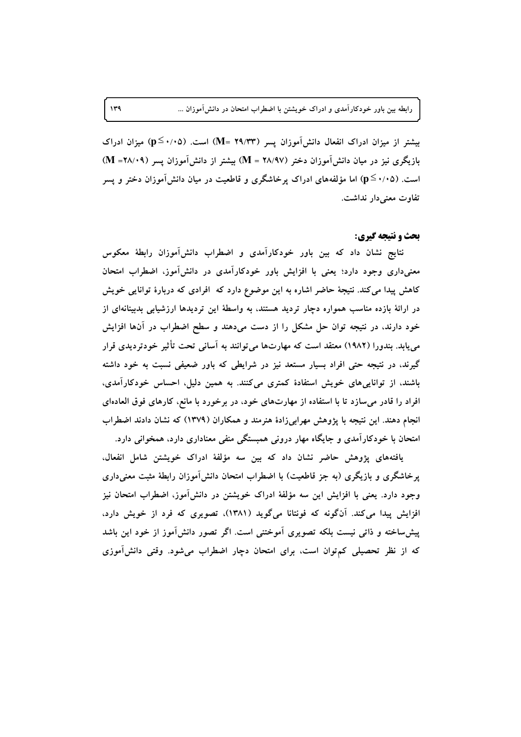بیشتر از میزان ادراک انفعال دانشآموزان پسر (M= ۲۹/۳۳) است. (p≤۰/۰۵) میزان ادراک بازیگری نیز در میان دانش آموزان دختر (۱۸/۹۷ = M) بیشتر از دانش آموزان پسر (۱۸/۰۹= M) است. (۱۰۵^−p) اما مؤلفههای ادراک برخاشگری و قاطعیت در میان دانشآموزان دختر و پسر تفاوت معنی دار نداشت.

#### **بحث و نتیجه گیری:**

نتایج نشان داد که بین باور خودکارآمدی و اضطراب دانشآموزان رابطهٔ معکوس معنیداری وجود دارد؛ یعنی با افزایش باور خودکارآمدی در دانش آموز، اضطراب امتحان کاهش پیدا می کند. نتیجهٔ حاضر اشاره به این موضوع دارد که افرادی که دربارهٔ توانایی خویش در ارائهٔ بازده مناسب همواره دچار تردید هستند، به واسطهٔ این تردیدها ارزشیابی بدبینانهای از خود دارند، در نتیجه توان حل مشکل را از دست میدهند و سطح اضطراب در آنها افزایش می پابد. بندورا (۱۹۸۲) معتقد است که مهارتها می توانند به آسانی تحت تأثیر خودتردیدی قرار گیرند، در نتیجه حتی افراد بسیار مستعد نیز در شرایطی که باور ضعیفی نسبت به خود داشته باشند، از تواناییهای خویش استفادهٔ کمتری میکنند. به همین دلیل، احساس خودکارآمدی، افراد را قادر میسازد تا با استفاده از مهارتهای خود، در برخورد با مانع، کارهای فوق العادهای انجام دهند. این نتیجه با پژوهش مهرابیزادهٔ هنرمند و همکاران (۱۳۷۹) که نشان دادند اضطراب امتحان با خودکارآمدی و جایگاه مهار درونی همبستگی منفی معناداری دارد، همخوانی دارد.

یافتههای پژوهش حاضر نشان داد که بین سه مؤلفهٔ ادراک خویشتن شامل انفعال، پرخاشگری و بازیگری (به جز قاطعیت) با اضطراب امتحان دانشآموزان رابطهٔ مثبت معنیداری وجود دارد. یعنی با افزایش این سه مؤلفهٔ ادراک خویشتن در دانشآموز، اضطراب امتحان نیز افزایش پیدا میکند. آنگونه که فونتانا میگوید (۱۳۸۱)، تصویری که فرد از خویش دارد، پیش ساخته و ذاتی نیست بلکه تصویری آموختنی است. اگر تصور دانش آموز از خود این باشد که از نظر تحصیلی کم توان است، برای امتحان دچار اضطراب می شود. وقتی دانش آموزی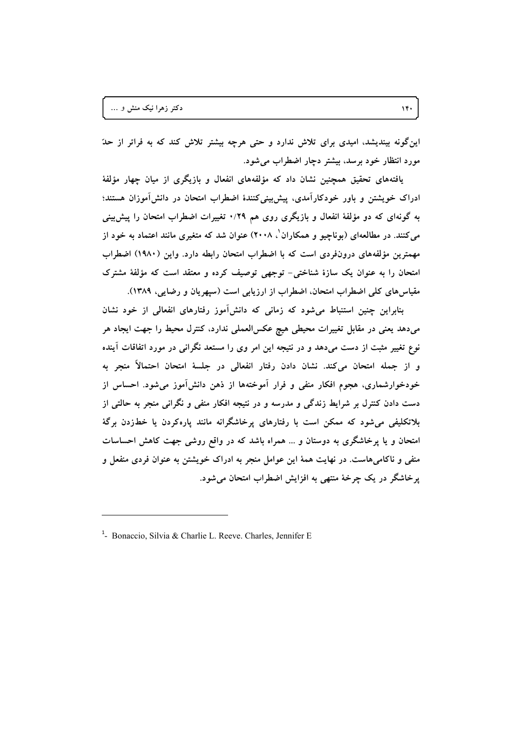این گونه بیندیشد، امیدی برای تلاش ندارد و حتی هرچه بیشتر تلاش کند که به فراتر از حدّ مورد انتظار خود برسد، بیشتر دچار اضطراب می شود.

یافتههای تحقیق همچنین نشان داد که مؤلفههای انفعال و بازیگری از میان چهار مؤلفهٔ ادراک خویشتن و باور خودکارآمدی، پیشبینیکنندهٔ اضطراب امتحان در دانشآموزان هستند؛ به گونهای که دو مؤلفهٔ انفعال و بازیگری روی هم ۰/۲۹ تغییرات اضطراب امتحان را پیش بینی می کنند. در مطالعهای (بوناچیو و همکاران '، ۲۰۰۸) عنوان شد که متغیری مانند اعتماد به خود از مهمترین مؤلفههای درونفردی است که با اضطراب امتحان رابطه دارد. واین (۱۹۸۰) اضطراب امتحان را به عنوان یک سازهٔ شناختی- توجهی توصیف کرده و معتقد است که مؤلفهٔ مشترک مقیاس های کلی اضطراب امتحان، اضطراب از ارزیابی است (سیهریان و رضایی، ۱۳۸۹).

بنابراین چنین استنباط می شود که زمانی که دانش آموز رفتارهای انفعالی از خود نشان میدهد یعنی در مقابل تغییرات محیطی هیچ عکسالعملی ندارد، کنترل محیط را جهت ایجاد هر نوع تغییر مثبت از دست میدهد و در نتیجه این امر وی را مستعد نگرانی در مورد اتفاقات آینده و از جمله امتحان میکند. نشان دادن رفتار انفعالی در جلسهٔ امتحان احتمالاً منجر به خودخوارشماری، هجوم افکار منفی و فرار اَموختهها از ذهن دانش[موز میشود. احساس از دست دادن کنترل بر شرایط زندگی و مدرسه و در نتیجه افکار منفی و نگرانی منجر به حالتی از بلاتکلیفی می شود که ممکن است با رفتارهای پرخاشگرانه مانند پارهکردن یا خطزدن برگهٔ امتحان و یا پرخاشگری به دوستان و … همراه باشد که در واقع روشی جهت کاهش احساسات منفی و ناکامیهاست. در نهایت همهٔ این عوامل منجر به ادراک خویشتن به عنوان فردی منفعل و یر خاشگر در یک چرخهٔ منتهی به افزایش اضطراب امتحان می شود.

 $14.$ 

<sup>&</sup>lt;sup>1</sup>- Bonaccio, Silvia & Charlie L. Reeve. Charles, Jennifer E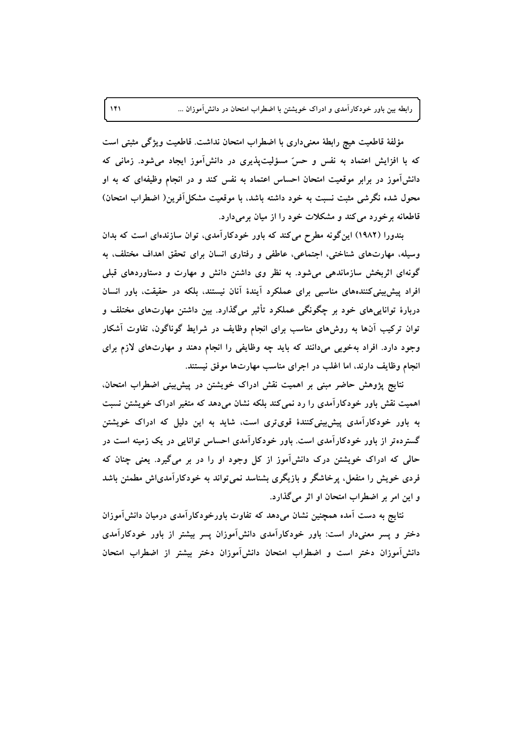مؤلفة قاطعيت هيچ رابطة معنىدارى با اضطراب امتحان نداشت. قاطعيت ويژگى مثبتى است که با افزایش اعتماد به نفس و حسّ مسؤلیتپذیری در دانشآموز ایجاد میشود. زمانی که دانشآموز در برابر موقعیت امتحان احساس اعتماد به نفس کند و در انجام وظیفهای که به او محول شده نگرشی مثبت نسبت به خود داشته باشد، با موقعیت مشکلآفرین( اضطراب امتحان) قاطعانه برخورد می کند و مشکلات خود را از میان برمی دارد.

بندورا (۱۹۸۲) این گونه مطرح می کند که باور خودکارآمدی، توان سازندهای است که بدان وسیله، مهارتهای شناختی، اجتماعی، عاطفی و رفتاری انسان برای تحقق اهداف مختلف، به گونهای اثربخش سازماندهی می شود. به نظر وی داشتن دانش و مهارت و دستاوردهای قبلی افراد پیش بینی کنندههای مناسبی برای عملکرد آیندهٔ آنان نیستند، بلکه در حقیقت، باور انسان دربارهٔ توانایبیهای خود بر چگونگی عملکرد تأثیر میگذارد. بین داشتن مهارتهای مختلف و توان ترکیب آنها به روشهای مناسب برای انجام وظایف در شرایط گوناگون. تفاوت آشکار وجود دارد. افراد بهخوبی میدانند که باید چه وظایفی را انجام دهند و مهارتهای لازم برای انجام وظایف دارند، اما اغلب در اجرای مناسب مهارتها موفق نیستند.

نتایج پژوهش حاضر مبنی بر اهمیت نقش ادراک خویشتن در پیش بینی اضطراب امتحان. اهمیت نقش باور خودکارآمدی را رد نمی کند بلکه نشان میدهد که متغیر ادراک خویشتن نسبت به باور خودکارآمدی پیش بینی کنندهٔ قویتری است، شاید به این دلیل که ادراک خویشتن گسترده تر از باور خودکارآمدی است. باور خودکارآمدی احساس توانایی در یک زمینه است در حالی که ادراک خویشتن درک دانش آموز از کل وجود او را در بر میگیرد. یعنی چنان که فردی خویش را منفعل، پرخاشگر و بازیگری بشناسد نمی تواند به خودکارآمدیاش مطمئن باشد و این امر بر اضطراب امتحان او اثر می گذارد.

نتایج به دست آمده همچنین نشان می٫دهد که تفاوت باورخودکارآمدی درمیان دانش∫موزان دختر و پسر معنیدار است: باور خودکارآمدی دانشlموزان پسر بیشتر از باور خودکارآمدی دانش[موزان دختر است و اضطراب امتحان دانش[موزان دختر بیشتر از اضطراب امتحان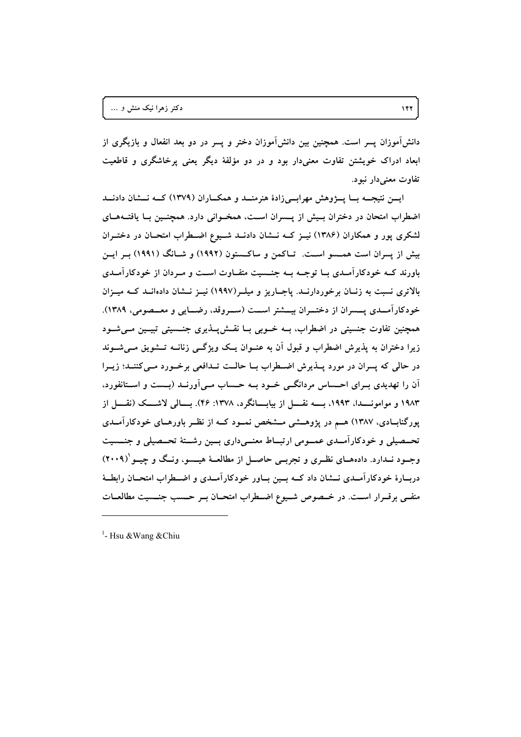دانش!موزان پسر است. همچنین بین دانش!موزان دختر و پسر در دو بعد انفعال و بازیگری از ابعاد ادراک خویشتن تفاوت معنیدار بود و در دو مؤلفهٔ دیگر یعنی پرخاشگری و قاطعیت تفاوت معنی**دار نبود**.

ایسن نتیجـــه بـــا پــــــژوهش مهرابــــی(ادهٔ هنرمنــــد و همکــــاران (۱۳۷۹) کــــه نــــشان دادنــــد اضطراب امتحان در دختران بـیش از پــسران اســت، همخــوانی دارد. همچنــین بــا یافتــهــای لشکری پور و همکاران (۱۳۸۶) نیــز کــه نـــشان دادنــد شــیوع اضـــطراب امتحــان در دختــران **] \$]% (1991) {6]5 (1992) 1-:]\*# <\*] .]# :]< # 1\$: 3 ?%** باورند کــه خودکارامــدی بــا توجــه بــه جنــسیت متفــاوت اســت و مــردان از خودکارامــدی بالاتری نسبت به زنــان برخوردارنــد. پاجــاریز و میلــر(۱۹۹۷) نیــز نــشان دادهانــد کــه میــزان خودکارامــدی پـــسران از دختـــران بیـــشتر اســـت (ســـروقد، رضـــایی و معـــصومی، ۱۳۸۹). همچنین تفاوت جنسیتی در اضطراب، بــه خــوبی بــا نقــشپــذیری جنــسیتی تبیــین مــیشــود **6]5"] > .] -]663 "]L ^] 1]NO -% 1) [;W /\$&0 @\$ | -% 1\$-+ \$ 3** در حالی که پسران در مورد پــذیرش اضــطراب بــا حالــت تــدافعی برخــورد مــیکننــد؛ زیــرا ان را تهدیدی بــرای احـــساس مردانگـــی خــود بــه حـــساب مــی|ورنــد (بـــست و اســتانفورد، **3 E]]6) ^]]5x "]]% .(46 :1378 !\$96]]%?% 3 E]]6 -]]% !1993 !]]6 1983** پورگنابــادی، ۱۳۸۷) هــم در پژوهـــشی مـــشخص نمــود کـــه از نظــر باورهــای خودکارامــدی تحــصیلی و خودکارامــدی عمــومی ارتبــاط معنــیداری بــین رشــتهٔ تحــصیلی و جنـــسیت **]?k {]6 !:]? ']A& 3 E]qI "]%\$H (\$]n6 (]7 . ]6 ]B <sup>1</sup> (2009)** دربــارهٔ خودکارامــدی نـــشان داد کـــه بـــین بـــاور خودکارامــدی و اضـــطراب امتحـــان رابطـــهٔ منفــی برقــرار اســت. در خــصوص شــیوع اضــطراب امتحــان بــر حــسب جنــسیت مطالعــات

<sup>&</sup>lt;sup>1</sup>- Hsu &Wang &Chiu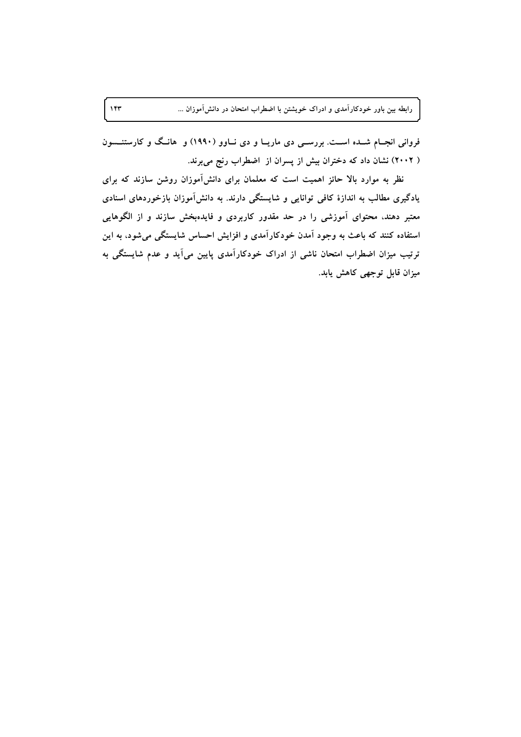فروانی انجــام شــده اســـت. بررســـی دی ماریــا و دی نــاوو (۱۹۹۰) و هانــگ و کارستنـــسون ( ۲۰۰۲) نشان داد که دختران بیش از پسران از اضطراب رنج میبرند.

 $157$ 

نظر به موارد بالا حائز اهمیت است که معلمان برای دانشآموزان روشن سازند که برای یادگیری مطالب به اندازهٔ کافی توانایی و شایستگی دارند. به دانشآموزان بازخوردهای اسنادی معتبر دهند، محتوای آموزشی را در حد مقدور کاربردی و فایدهبخش سازند و از الگوهایی استفاده کنند که باعث به وجود آمدن خودکارآمدی و افزایش احساس شایستگی می شود، به این ترتیب میزان اضطراب امتحان ناشی از ادراک خودکارآمدی پایین میآید و عدم شایستگی به میزان قابل توجهی کاهش یابد.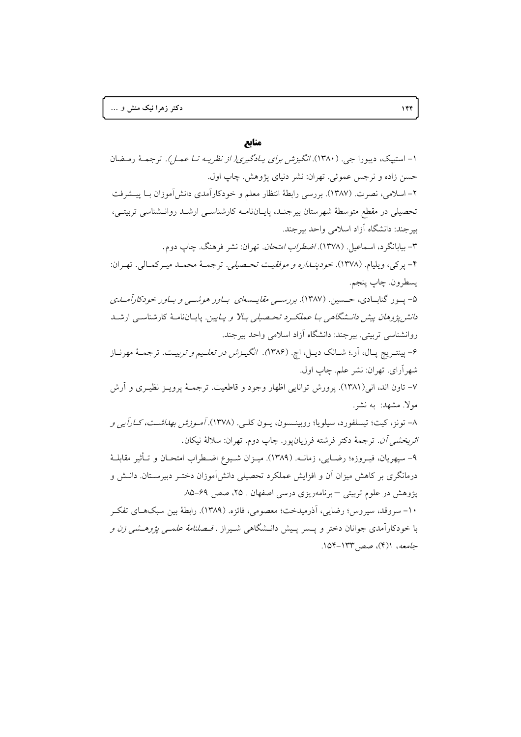### منابع

۱- استیپک، دیبورا جی. (۱۳۸۰). *انگیزش برای پـادگیری( از نظریـه تـا عمـل).* ترجمـهٔ رمـضان حسن زاده و نرجس عموئي. تهران: نشر دنياي پژوهش. چاپ اول. ۲– اسلامی، نصرت. (۱۳۸۷). بررسی رابطهٔ انتظار معلم و خودکارآمدی دانش آموزان بــا پیــشرفت تحصیلی در مقطع متوسطهٔ شهرستان بیرجنـد، پایـانiامـه کارشناسـی ارشـد روانـشناسی تربیتـی، بیرجند: دانشگاه آزاد اسلامی واحد بیرجند. ٣- بيابانگرد، اسماعيل (١٣٧٨). *اضطراب امتحان*. تهران: نشر فرهنگ. چاپ دوم. ۴- پرکي، ويليام. (١٣٧٨). *خودپنـداره و موفقيـت تحـصيلي*. ترجمـهٔ محمـد ميـرکمـالي. تهـران: يسطرون. چاپ پنجم. ۵- پـور گنابـادي، حــسين. (۱۳۸۷). بررســي مق*ايــسهاي بــاور هوشــي و بــاور خودکارآمــلـي* د*انش پژوهان پیش دانـشگاهی بـا عملكـرد تحـصيلی بـالا و پـايين*. پايــانiامــهٔ كارشناســی ارشــد روانشناسی تربیتی. بیرجند: دانشگاه آزاد اسلامی واحد بیرجند. ۶- پینتـریچ پـال، آر.؛ شــانک دیــل، اچ. (۱۳۸۶*). انگیــزش در تعلــیم و تربیــت.* ترجمــهٔ مهرنــاز شهر آراي. تهران: نشر علم. چاپ اول. ۷– تاون اند، انی(۱۳۸۱). پرورش توانایی اظهار وجود و قاطعیت. ترجمـهٔ پرویـز نظیـری و آرش مولاً. مشهد: به نشر. ۸– تونز، کیت؛ تیسلفورد، سیلویا؛ روبینـسون، یــون کلــی. (۱۳۷۸). *آمـوزش بهداشـت، کــاراً یـی و اثربخشي آن.* ترجمهٔ دکتر فرشته فرزيانپور. چاپ دوم. تهران: سلالهٔ نيکان. ۹– سپهريان، فيـروزه؛ رضـايي، زمانــه. (١٣٨٩). ميـزان شــيوع اضـطراب امتحـان و تــأثير مقابلــهٔ درمانگری بر کاهش میزان آن و افزایش عملکرد تحصیلی دانش آموزان دختـر دبیرسـتان. دانــش و یژوهش در علوم تربیتی – برنامهریزی درسی اصفهان . ۲۵، صص ۶۹–۸۵. ١٠- سروقد، سيروس؛ رضايي، آذرميدخت؛ معصومي، فائزه. (١٣٨٩). رابطهٔ بين سبكهـاي تفكـر با خودکارآمدی جوانان دختر و پــسر پـیش دانــشگاهی شــیراز . *فــصلنامهٔ علمــی پژوهــشی زن و* جامعه، ((۴)، صص ۱۳۳–۱۵۴.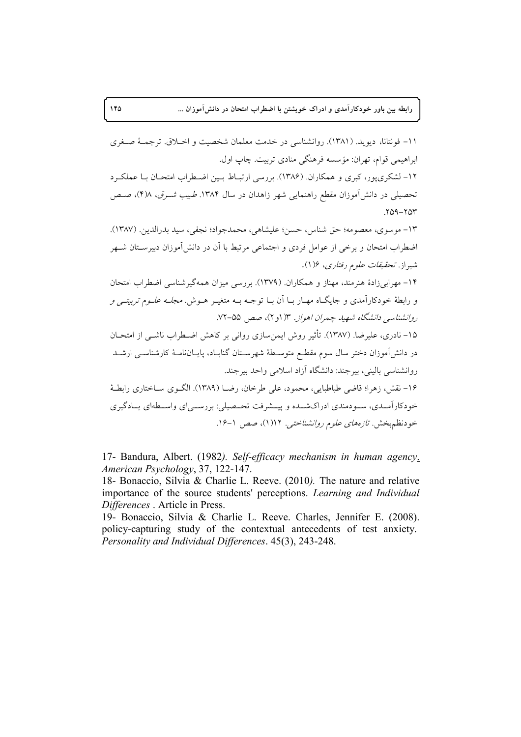١١- فونتانا، ديويد. (١٣٨١). روانشناسي در خدمت معلمان شخصيت و اخــلاق. ترجمــهٔ صــغرى ابراهيمي قوام، تهران: مؤسسه فرهنگي منادي تربيت. چاپ اول. ۱۲- لشکری پور، کبری و همکاران. (۱۳۸۶). بررسی ارتبـاط بـین اضـطراب امتحـان بـا عملکـرد تحصیلی در دانش آموزان مقطع راهنمایی شهر زاهدان در سال ۱۳۸۴. طبیب شـرق، ۴)۸)، صـص  $YQ - YQY$ ١٣- موسوى، معصومه؛ حق شناس، حسن؛ عليشاهي، محمدجواد؛ نجفي، سيد بدرالدين. (١٣٨٧). اضطراب امتحان و برخی از عوامل فردی و اجتماعی مرتبط با آن در دانش آموزان دبیرسـتان شــهر شی<sub>د</sub>از . *تحقیقات علو*م رفتاری، ۱۶(۱). ۱۴– مهرابی¿ادهٔ هنرمند، مهناز و همکاران. (۱۳۷۹). بررسی میزان همهگیرشناسی اضطراب امتحان و رابطهٔ خودکارآمدی و جایگـاه مهـار بـا آن بـا توجـه بـه متغیـر هـوش. *مجلـه علـوم تربیتـی و* روانشناسی دانشگاه شهید چمران اهواز. ۱۳ (و ۲)، صص ۵۵-۷۲. ۱۵– نادری، علیرضا. (۱۳۸۷). تأثیر روش ایمن سازی روانی بر کاهش اضـطراب ناشــی از امتحــان در دانشآموزان دختر سال سوم مقطـع متوسـطهٔ شهرسـتان گنابـاد، پايــانiامــهٔ كارشناســي ارشــد روانشناسی بالینی، بیرجند: دانشگاه آزاد اسلامی واحد بیرجند. ۱۶– نقش، زهرا؛ قاضی طباطبایی، محمود، علی طرخان، رضــا (۱۳۸۹). الگـوی ســاختاری رابطـهٔ خودکارآمـدي، سـودمندي ادراکشـده و پيــشرفت تحــصيلي: بررســي|ي واســطهاي يــادگيري خودنظم بخش. تازههای علوم روانشناختی. ۱۲(۱)، صص ۱-۱۶.

17- Bandura, Albert. (1982). Self-efficacy mechanism in human agency. American Psychology, 37, 122-147.

18- Bonaccio, Silvia & Charlie L. Reeve. (2010). The nature and relative importance of the source students' perceptions. Learning and Individual Differences . Article in Press.

19- Bonaccio, Silvia & Charlie L. Reeve. Charles, Jennifer E. (2008). policy-capturing study of the contextual antecedents of test anxiety. Personality and Individual Differences. 45(3), 243-248.